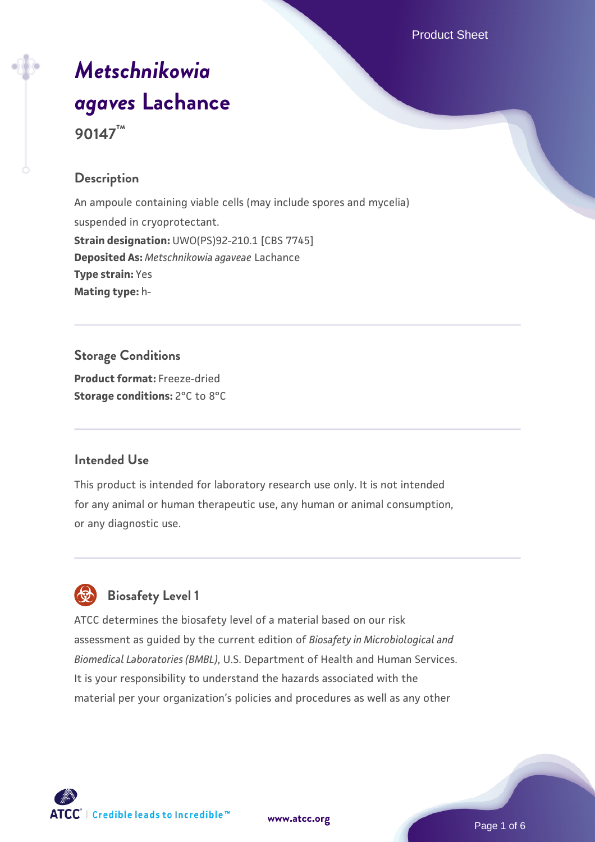# *[Metschnikowia](https://www.atcc.org/products/90147) [agaves](https://www.atcc.org/products/90147)* **[Lachance](https://www.atcc.org/products/90147) 90147™**

# **Description**

An ampoule containing viable cells (may include spores and mycelia) suspended in cryoprotectant. **Strain designation:** UWO(PS)92-210.1 [CBS 7745] **Deposited As:** *Metschnikowia agaveae* Lachance **Type strain:** Yes **Mating type:** h-

# **Storage Conditions**

**Product format:** Freeze-dried **Storage conditions:** 2°C to 8°C

# **Intended Use**

This product is intended for laboratory research use only. It is not intended for any animal or human therapeutic use, any human or animal consumption, or any diagnostic use.



# **Biosafety Level 1**

ATCC determines the biosafety level of a material based on our risk assessment as guided by the current edition of *Biosafety in Microbiological and Biomedical Laboratories (BMBL)*, U.S. Department of Health and Human Services. It is your responsibility to understand the hazards associated with the material per your organization's policies and procedures as well as any other



**[www.atcc.org](http://www.atcc.org)**

Page 1 of 6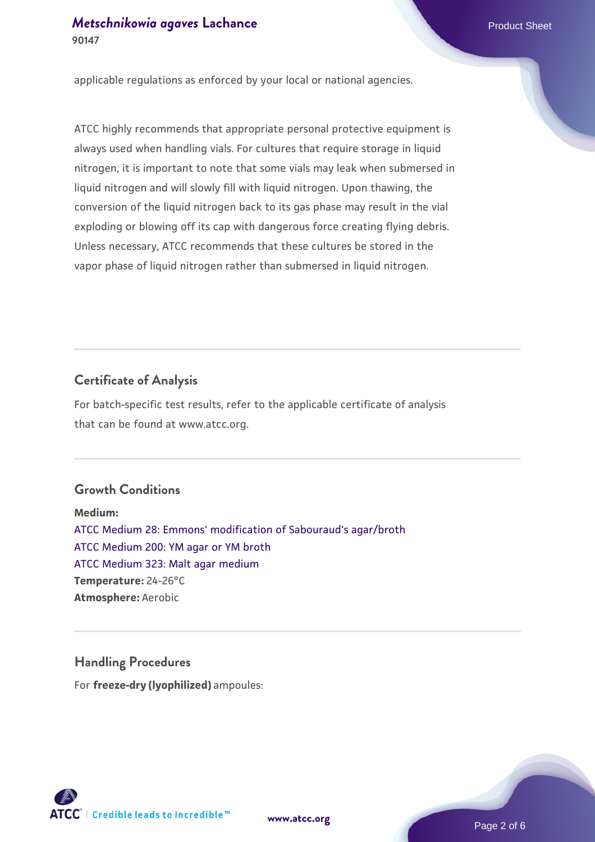applicable regulations as enforced by your local or national agencies.

ATCC highly recommends that appropriate personal protective equipment is always used when handling vials. For cultures that require storage in liquid nitrogen, it is important to note that some vials may leak when submersed in liquid nitrogen and will slowly fill with liquid nitrogen. Upon thawing, the conversion of the liquid nitrogen back to its gas phase may result in the vial exploding or blowing off its cap with dangerous force creating flying debris. Unless necessary, ATCC recommends that these cultures be stored in the vapor phase of liquid nitrogen rather than submersed in liquid nitrogen.

#### **Certificate of Analysis**

For batch-specific test results, refer to the applicable certificate of analysis that can be found at www.atcc.org.

#### **Growth Conditions**

**Medium:**  [ATCC Medium 28: Emmons' modification of Sabouraud's agar/broth](https://www.atcc.org/-/media/product-assets/documents/microbial-media-formulations/2/8/atcc-medium-28.pdf?rev=0da0c58cc2a343eeae735016b70809bb) [ATCC Medium 200: YM agar or YM broth](https://www.atcc.org/-/media/product-assets/documents/microbial-media-formulations/2/0/0/atcc-medium-200.pdf?rev=ac40fd74dc13433a809367b0b9da30fc) [ATCC Medium 323: Malt agar medium](https://www.atcc.org/-/media/product-assets/documents/microbial-media-formulations/3/2/3/atcc-medium-323.pdf?rev=58d6457ee20149d7a1c844947569ef92) **Temperature:** 24-26°C **Atmosphere:** Aerobic

# **Handling Procedures**

For **freeze-dry (lyophilized)** ampoules:

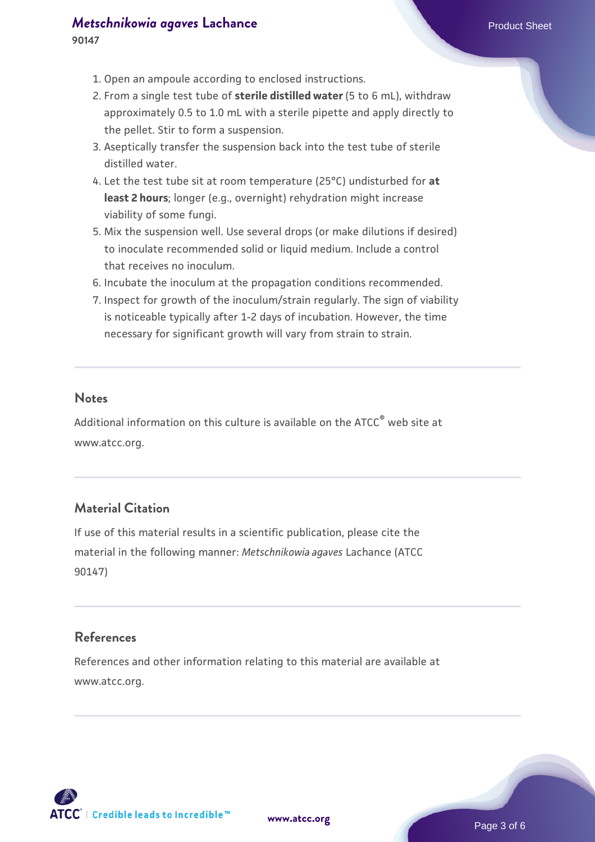#### *[Metschnikowia agaves](https://www.atcc.org/products/90147)* [Lachance](https://www.atcc.org/products/90147) **Product Sheet** Product Sheet

- 1. Open an ampoule according to enclosed instructions.
- 2. From a single test tube of **sterile distilled water** (5 to 6 mL), withdraw approximately 0.5 to 1.0 mL with a sterile pipette and apply directly to the pellet. Stir to form a suspension.
- 3. Aseptically transfer the suspension back into the test tube of sterile distilled water.
- Let the test tube sit at room temperature (25°C) undisturbed for **at** 4. **least 2 hours**; longer (e.g., overnight) rehydration might increase viability of some fungi.
- 5. Mix the suspension well. Use several drops (or make dilutions if desired) to inoculate recommended solid or liquid medium. Include a control that receives no inoculum.
- 6. Incubate the inoculum at the propagation conditions recommended.
- 7. Inspect for growth of the inoculum/strain regularly. The sign of viability is noticeable typically after 1-2 days of incubation. However, the time necessary for significant growth will vary from strain to strain.

#### **Notes**

Additional information on this culture is available on the ATCC® web site at www.atcc.org.

# **Material Citation**

If use of this material results in a scientific publication, please cite the material in the following manner: *Metschnikowia agaves* Lachance (ATCC 90147)

#### **References**

References and other information relating to this material are available at www.atcc.org.

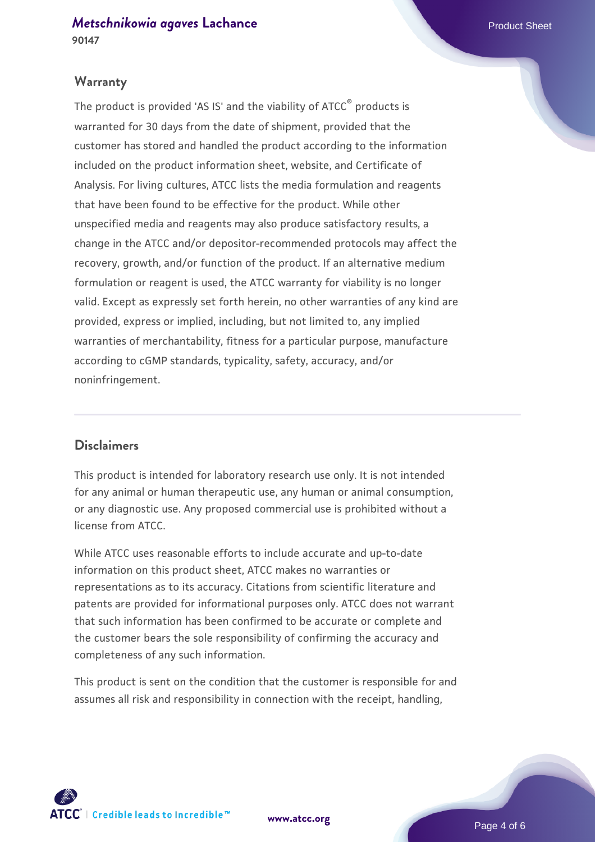#### **Warranty**

The product is provided 'AS IS' and the viability of ATCC® products is warranted for 30 days from the date of shipment, provided that the customer has stored and handled the product according to the information included on the product information sheet, website, and Certificate of Analysis. For living cultures, ATCC lists the media formulation and reagents that have been found to be effective for the product. While other unspecified media and reagents may also produce satisfactory results, a change in the ATCC and/or depositor-recommended protocols may affect the recovery, growth, and/or function of the product. If an alternative medium formulation or reagent is used, the ATCC warranty for viability is no longer valid. Except as expressly set forth herein, no other warranties of any kind are provided, express or implied, including, but not limited to, any implied warranties of merchantability, fitness for a particular purpose, manufacture according to cGMP standards, typicality, safety, accuracy, and/or noninfringement.

#### **Disclaimers**

This product is intended for laboratory research use only. It is not intended for any animal or human therapeutic use, any human or animal consumption, or any diagnostic use. Any proposed commercial use is prohibited without a license from ATCC.

While ATCC uses reasonable efforts to include accurate and up-to-date information on this product sheet, ATCC makes no warranties or representations as to its accuracy. Citations from scientific literature and patents are provided for informational purposes only. ATCC does not warrant that such information has been confirmed to be accurate or complete and the customer bears the sole responsibility of confirming the accuracy and completeness of any such information.

This product is sent on the condition that the customer is responsible for and assumes all risk and responsibility in connection with the receipt, handling,



**[www.atcc.org](http://www.atcc.org)**

Page 4 of 6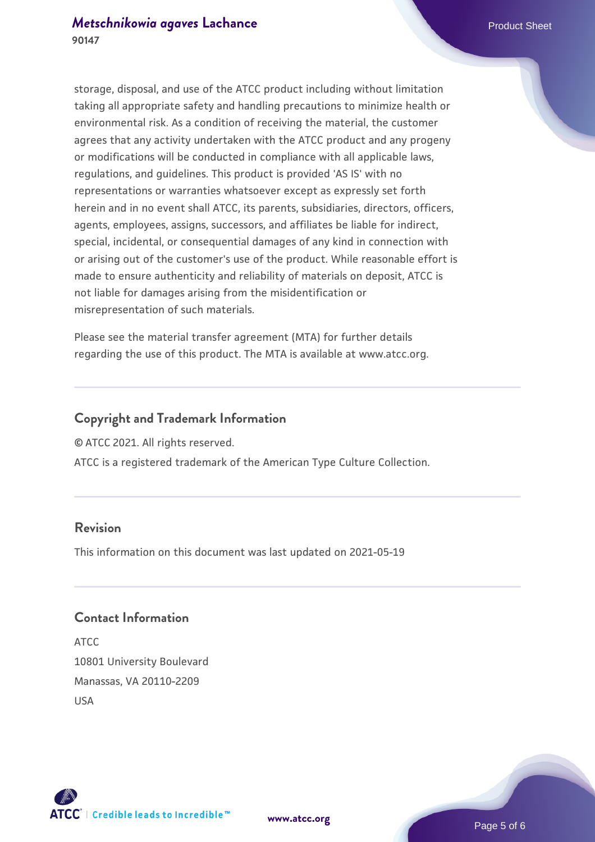storage, disposal, and use of the ATCC product including without limitation taking all appropriate safety and handling precautions to minimize health or environmental risk. As a condition of receiving the material, the customer agrees that any activity undertaken with the ATCC product and any progeny or modifications will be conducted in compliance with all applicable laws, regulations, and guidelines. This product is provided 'AS IS' with no representations or warranties whatsoever except as expressly set forth herein and in no event shall ATCC, its parents, subsidiaries, directors, officers, agents, employees, assigns, successors, and affiliates be liable for indirect, special, incidental, or consequential damages of any kind in connection with or arising out of the customer's use of the product. While reasonable effort is made to ensure authenticity and reliability of materials on deposit, ATCC is not liable for damages arising from the misidentification or misrepresentation of such materials.

Please see the material transfer agreement (MTA) for further details regarding the use of this product. The MTA is available at www.atcc.org.

#### **Copyright and Trademark Information**

© ATCC 2021. All rights reserved.

ATCC is a registered trademark of the American Type Culture Collection.

### **Revision**

This information on this document was last updated on 2021-05-19

### **Contact Information**

ATCC 10801 University Boulevard Manassas, VA 20110-2209 USA